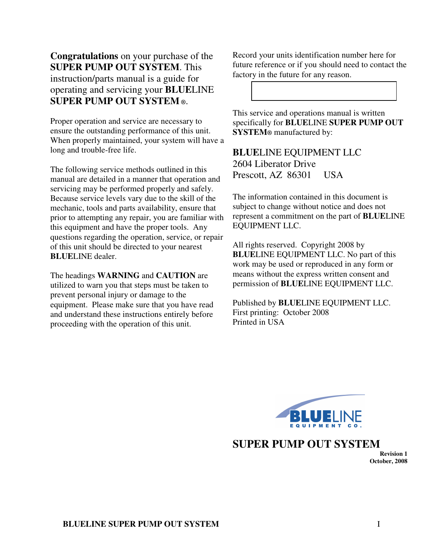**Congratulations** on your purchase of the **SUPER PUMP OUT SYSTEM**. This instruction/parts manual is a guide for operating and servicing your **BLUE**LINE **SUPER PUMP OUT SYSTEM ®**.

Proper operation and service are necessary to ensure the outstanding performance of this unit. When properly maintained, your system will have a long and trouble-free life.

The following service methods outlined in this manual are detailed in a manner that operation and servicing may be performed properly and safely. Because service levels vary due to the skill of the mechanic, tools and parts availability, ensure that prior to attempting any repair, you are familiar with this equipment and have the proper tools. Any questions regarding the operation, service, or repair of this unit should be directed to your nearest **BLUELINE** dealer.

The headings **WARNING** and **CAUTION** are utilized to warn you that steps must be taken to prevent personal injury or damage to the equipment. Please make sure that you have read and understand these instructions entirely before proceeding with the operation of this unit.

Record your units identification number here for future reference or if you should need to contact the factory in the future for any reason.

This service and operations manual is written specifically for **BLUE**LINE **SUPER PUMP OUT SYSTEM®** manufactured by: s

**BLUE**LINE EQUIPMENT LLC 2604 Liberator Drive Prescott, AZ 86301 USA

The information contained in this document is subject to change without notice and does not represent a commitment on the part of **BLUE**LINE EQUIPMENT LLC.

All rights reserved. Copyright 2008 by **BLUE**LINE EQUIPMENT LLC. No part of this work may be used or reproduced in any form or means without the express written consent and permission of **BLUE**LINE EQUIPMENT LLC.

Published by **BLUE**LINE EQUIPMENT LLC. First printing: October 2008 Printed in USA



#### **SUPER PUMP OUT SYSTEM**

**Revision 1 October, 2008**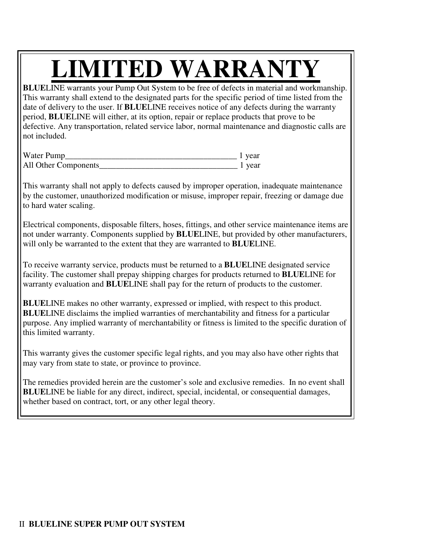# **LIMITED WARRANTY**

**BLUE**LINE warrants your Pump Out System to be free of defects in material and workmanship. This warranty shall extend to the designated parts for the specific period of time listed from the date of delivery to the user. If **BLUE**LINE receives notice of any defects during the warranty period, **BLUE**LINE will either, at its option, repair or replace products that prove to be defective. Any transportation, related service labor, normal maintenance and diagnostic calls are not included.

| Water Pump           | 1 year |
|----------------------|--------|
| All Other Components | vear   |

This warranty shall not apply to defects caused by improper operation, inadequate maintenance by the customer, unauthorized modification or misuse, improper repair, freezing or damage due to hard water scaling.

Electrical components, disposable filters, hoses, fittings, and other service maintenance items are not under warranty. Components supplied by **BLUE**LINE, but provided by other manufacturers, will only be warranted to the extent that they are warranted to **BLUE**LINE.

To receive warranty service, products must be returned to a **BLUE**LINE designated service facility. The customer shall prepay shipping charges for products returned to **BLUE**LINE for warranty evaluation and **BLUE**LINE shall pay for the return of products to the customer.

**BLUE**LINE makes no other warranty, expressed or implied, with respect to this product. **BLUE**LINE disclaims the implied warranties of merchantability and fitness for a particular purpose. Any implied warranty of merchantability or fitness is limited to the specific duration of this limited warranty.

This warranty gives the customer specific legal rights, and you may also have other rights that may vary from state to state, or province to province.

The remedies provided herein are the customer's sole and exclusive remedies. In no event shall **BLUE**LINE be liable for any direct, indirect, special, incidental, or consequential damages, whether based on contract, tort, or any other legal theory.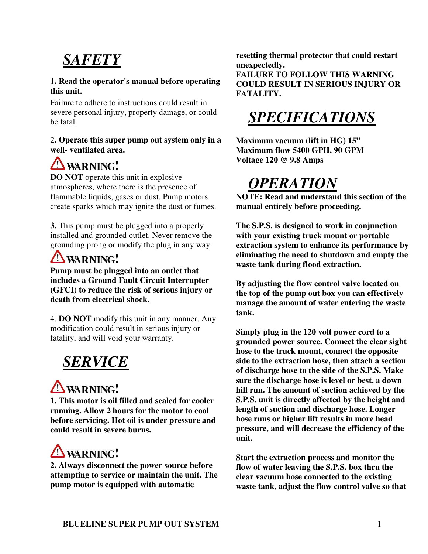## *SAFETY*

#### 1**. Read the operator's manual before operating this unit.**

Failure to adhere to instructions could result in severe personal injury, property damage, or could be fatal.

#### 2**. Operate this super pump out system only in a well- ventilated area.**

#### **A**WARNING!

**DO NOT** operate this unit in explosive atmospheres, where there is the presence of flammable liquids, gases or dust. Pump motors create sparks which may ignite the dust or fumes.

**3.** This pump must be plugged into a properly installed and grounded outlet. Never remove the grounding prong or modify the plug in any way.

#### **A**WARNING!

**Pump must be plugged into an outlet that includes a Ground Fault Circuit Interrupter (GFCI) to reduce the risk of serious injury or death from electrical shock.**

4. **DO NOT** modify this unit in any manner. Any modification could result in serious injury or fatality, and will void your warranty.

#### *SERVICE*

### **A** WARNING!

**1. This motor is oil filled and sealed for cooler running. Allow 2 hours for the motor to cool before servicing. Hot oil is under pressure and could result in severe burns.**

## **A**WARNING!

**2. Always disconnect the power source before attempting to service or maintain the unit. The pump motor is equipped with automatic**

**resetting thermal protector that could restart unexpectedly.**

**FAILURE TO FOLLOW THIS WARNING COULD RESULT IN SERIOUS INJURY OR FATALITY.**

#### *SPECIFICATIONS*

**Maximum vacuum (lift in HG) 15" Maximum flow 5400 GPH, 90 GPM Voltage 120 @ 9.8 Amps**

#### *OPERATION*

**NOTE: Read and understand this section of the manual entirely before proceeding.**

**The S.P.S. is designed to work in conjunction with your existing truck mount or portable extraction system to enhance its performance by eliminating the need to shutdown and empty the waste tank during flood extraction.**

**By adjusting the flow control valve located on the top of the pump out box you can effectively manage the amount of water entering the waste tank.**

**Simply plug in the 120 volt power cord to a grounded power source. Connect the clear sight hose to the truck mount, connect the opposite side to the extraction hose, then attach a section of discharge hose to the side of the S.P.S. Make sure the discharge hose is level or best, a down hill run. The amount of suction achieved by the S.P.S. unit is directly affected by the height and length of suction and discharge hose. Longer hose runs or higher lift results in more head pressure, and will decrease the efficiency of the unit.**

**Start the extraction process and monitor the flow of water leaving the S.P.S. box thru the clear vacuum hose connected to the existing waste tank, adjust the flow control valve so that**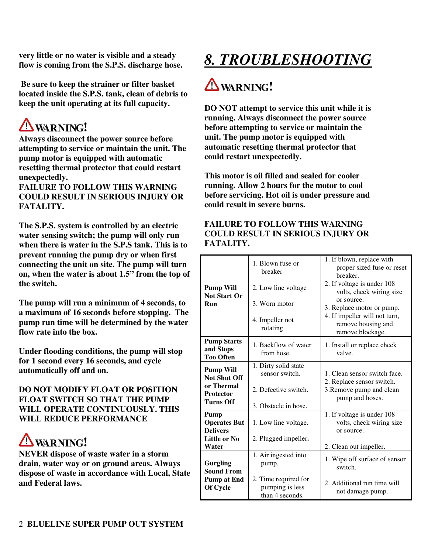**very little or no water is visible and a steady flow is coming from the S.P.S. discharge hose.**

**Be sure to keep the strainer or filter basket located inside the S.P.S. tank, clean of debris to keep the unit operating at its full capacity.**

# **AWARNING!**

**Always disconnect the power source before attempting to service or maintain the unit. The pump motor is equipped with automatic resetting thermal protector that could restart unexpectedly.**

**FAILURE TO FOLLOW THIS WARNING COULD RESULT IN SERIOUS INJURY OR FATALITY.**

**The S.P.S. system is controlled by an electric water sensing switch; the pump will only run when there is water in the S.P.S tank. This is to prevent running the pump dry or when first connecting the unit on site. The pump will turn on, when the water is about 1.5" from the top of the switch.**

**The pump will run a minimum of 4 seconds, to a maximum of 16 seconds before stopping. The pump run time will be determined by the water flow rate into the box.**

**Under flooding conditions, the pump will stop for 1 second every 16 seconds, and cycle automatically off and on.**

**DO NOT MODIFY FLOAT OR POSITION FLOAT SWITCH SO THAT THE PUMP WILL OPERATE CONTINUOUSLY. THIS WILL REDUCE PERFORMANCE**

## **A** WARNING!

**NEVER dispose of waste water in a storm drain, water way or on ground areas. Always dispose of waste in accordance with Local, State and Federal laws.**

# *8. TROUBLESHOOTING*

## *I* WARNING!

**DO NOT attempt to service this unit while it is running. Always disconnect the power source before attempting to service or maintain the unit. The pump motor is equipped with automatic resetting thermal protector that could restart unexpectedly.**

**This motor is oil filled and sealed for cooler running. Allow 2 hours for the motor to cool before servicing. Hot oil is under pressure and could result in severe burns.**

#### **FAILURE TO FOLLOW THIS WARNING COULD RESULT IN SERIOUS INJURY OR FATALITY.**

|                                                       | 1. Blown fuse or<br>breaker                                | 1. If blown, replace with<br>proper sized fuse or reset<br>breaker.<br>2. If voltage is under 108    |
|-------------------------------------------------------|------------------------------------------------------------|------------------------------------------------------------------------------------------------------|
| <b>Pump Will</b><br><b>Not Start Or</b><br><b>Run</b> | 2. Low line voltage<br>3. Worn motor                       | volts, check wiring size<br>or source.                                                               |
|                                                       | 4. Impeller not<br>rotating                                | 3. Replace motor or pump.<br>4. If impeller will not turn,<br>remove housing and<br>remove blockage. |
| <b>Pump Starts</b><br>and Stops<br><b>Too Often</b>   | 1. Backflow of water<br>from hose.                         | 1. Install or replace check<br>valve.                                                                |
| <b>Pump Will</b><br><b>Not Shut Off</b>               | 1. Dirty solid state<br>sensor switch.                     | 1. Clean sensor switch face.<br>2. Replace sensor switch.                                            |
| or Thermal<br><b>Protector</b><br><b>Turns Off</b>    | 2. Defective switch.                                       | 3. Remove pump and clean<br>pump and hoses.                                                          |
|                                                       | 3. Obstacle in hose.                                       |                                                                                                      |
| Pump<br><b>Operates But</b><br><b>Delivers</b>        | 1. Low line voltage.                                       | 1. If voltage is under 108<br>volts, check wiring size<br>or source.                                 |
| <b>Little or No</b><br>Water                          | 2. Plugged impeller.                                       | 2. Clean out impeller.                                                                               |
| <b>Gurgling</b><br><b>Sound From</b>                  | 1. Air ingested into<br>pump.                              | 1. Wipe off surface of sensor<br>switch.                                                             |
| <b>Pump at End</b><br>Of Cycle                        | 2. Time required for<br>pumping is less<br>than 4 seconds. | 2. Additional run time will<br>not damage pump.                                                      |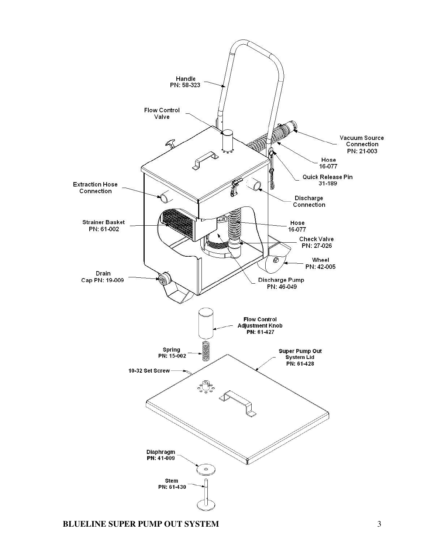

**BLUELINE SUPER PUMP OUT SYSTEM** 3